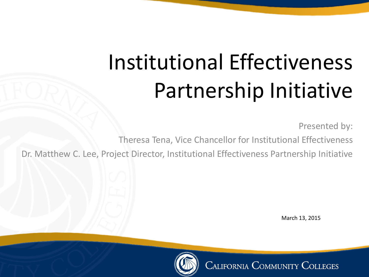# Institutional Effectiveness Partnership Initiative

Presented by:

Theresa Tena, Vice Chancellor for Institutional Effectiveness

Dr. Matthew C. Lee, Project Director, Institutional Effectiveness Partnership Initiative

March 13, 2015



**CALIFORNIA COMMUNITY COLLEGES**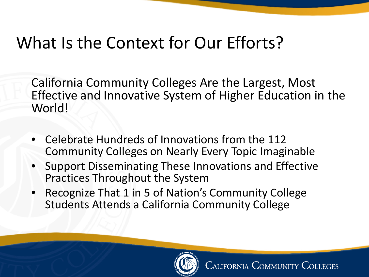#### What Is the Context for Our Efforts?

California Community Colleges Are the Largest, Most Effective and Innovative System of Higher Education in the World!

- Celebrate Hundreds of Innovations from the 112 Community Colleges on Nearly Every Topic Imaginable
- Support Disseminating These Innovations and Effective Practices Throughout the System
- Recognize That 1 in 5 of Nation's Community College Students Attends a California Community College

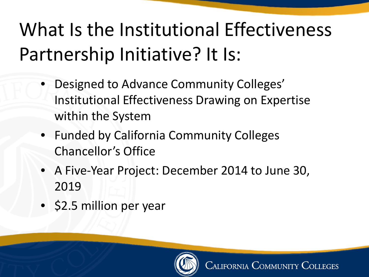#### What Is the Institutional Effectiveness Partnership Initiative? It Is:

- Designed to Advance Community Colleges' Institutional Effectiveness Drawing on Expertise within the System
- Funded by California Community Colleges Chancellor's Office
- A Five-Year Project: December 2014 to June 30, 2019
- \$2.5 million per year

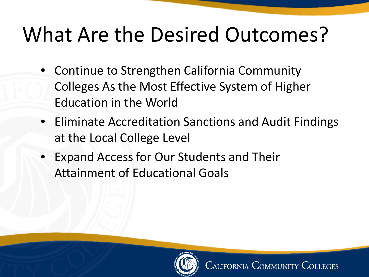## What Are the Desired Outcomes?

- Continue to Strengthen California Community Colleges As the Most Effective System of Higher Education in the World
- Eliminate Accreditation Sanctions and Audit Findings at the Local College Level
- Expand Access for Our Students and Their Attainment of Educational Goals

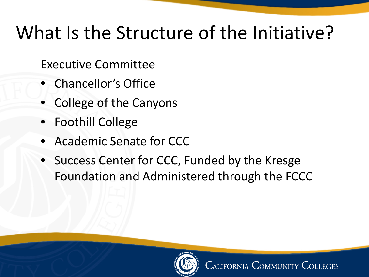#### What Is the Structure of the Initiative?

Executive Committee

- Chancellor's Office
- College of the Canyons
- Foothill College
- Academic Senate for CCC
- Success Center for CCC, Funded by the Kresge Foundation and Administered through the FCCC

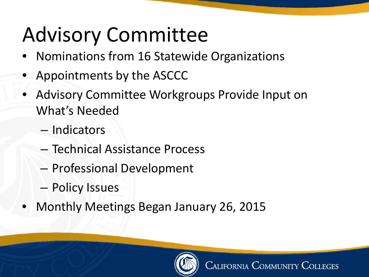# Advisory Committee

- Nominations from 16 Statewide Organizations
- Appointments by the ASCCC
- Advisory Committee Workgroups Provide Input on What's Needed
	- Indicators
	- Technical Assistance Process
	- Professional Development
	- Policy Issues
- Monthly Meetings Began January 26, 2015

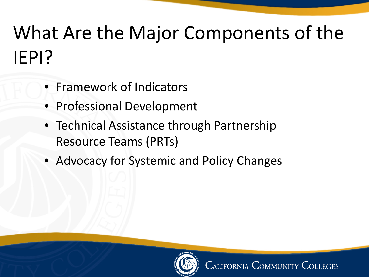#### What Are the Major Components of the IEPI?

- Framework of Indicators
- Professional Development
- Technical Assistance through Partnership Resource Teams (PRTs)
- Advocacy for Systemic and Policy Changes

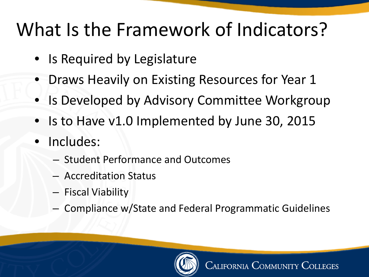#### What Is the Framework of Indicators?

- Is Required by Legislature
- Draws Heavily on Existing Resources for Year 1
- Is Developed by Advisory Committee Workgroup
- Is to Have v1.0 Implemented by June 30, 2015
- Includes:
	- Student Performance and Outcomes
	- Accreditation Status
	- Fiscal Viability
	- Compliance w/State and Federal Programmatic Guidelines

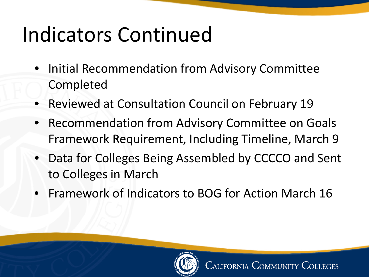# Indicators Continued

- Initial Recommendation from Advisory Committee Completed
- Reviewed at Consultation Council on February 19
- Recommendation from Advisory Committee on Goals Framework Requirement, Including Timeline, March 9
- Data for Colleges Being Assembled by CCCCO and Sent to Colleges in March
- Framework of Indicators to BOG for Action March 16

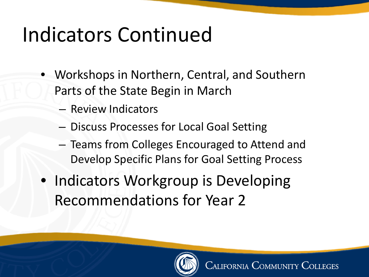## Indicators Continued

- Workshops in Northern, Central, and Southern Parts of the State Begin in March
	- Review Indicators
	- Discuss Processes for Local Goal Setting
	- Teams from Colleges Encouraged to Attend and Develop Specific Plans for Goal Setting Process
- Indicators Workgroup is Developing Recommendations for Year 2

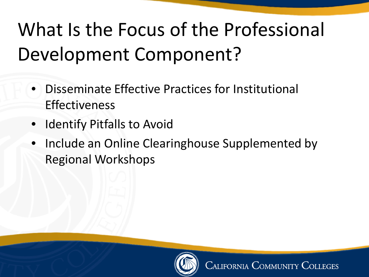### What Is the Focus of the Professional Development Component?

- Disseminate Effective Practices for Institutional Effectiveness
- Identify Pitfalls to Avoid
- Include an Online Clearinghouse Supplemented by Regional Workshops

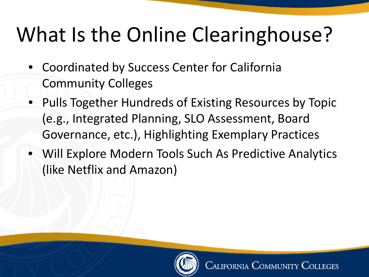# What Is the Online Clearinghouse?

- Coordinated by Success Center for California Community Colleges
- Pulls Together Hundreds of Existing Resources by Topic (e.g., Integrated Planning, SLO Assessment, Board Governance, etc.), Highlighting Exemplary Practices
- Will Explore Modern Tools Such As Predictive Analytics (like Netflix and Amazon)

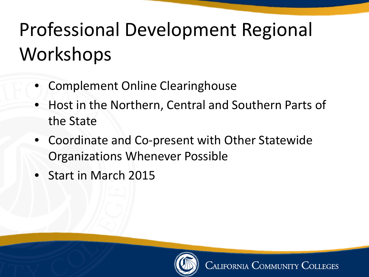#### Professional Development Regional Workshops

- Complement Online Clearinghouse
- Host in the Northern, Central and Southern Parts of the State
- Coordinate and Co-present with Other Statewide Organizations Whenever Possible
- Start in March 2015

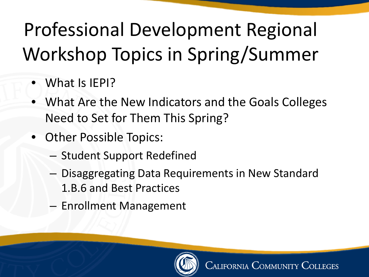### Professional Development Regional Workshop Topics in Spring/Summer

- What Is IEPI?
- What Are the New Indicators and the Goals Colleges Need to Set for Them This Spring?
- Other Possible Topics:
	- Student Support Redefined
	- Disaggregating Data Requirements in New Standard 1.B.6 and Best Practices
	- Enrollment Management

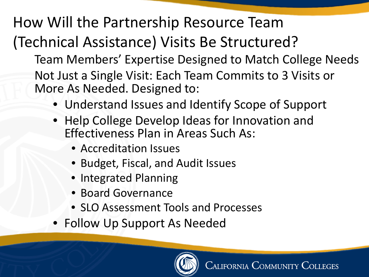How Will the Partnership Resource Team (Technical Assistance) Visits Be Structured? Team Members' Expertise Designed to Match College Needs Not Just a Single Visit: Each Team Commits to 3 Visits or More As Needed. Designed to:

- Understand Issues and Identify Scope of Support
- Help College Develop Ideas for Innovation and Effectiveness Plan in Areas Such As:
	- Accreditation Issues
	- Budget, Fiscal, and Audit Issues
	- Integrated Planning
	- Board Governance
	- SLO Assessment Tools and Processes
- Follow Up Support As Needed

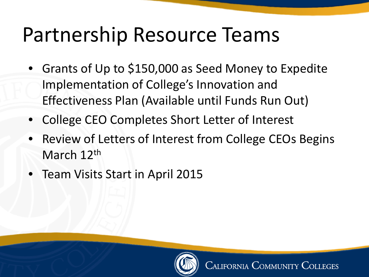#### Partnership Resource Teams

- Grants of Up to \$150,000 as Seed Money to Expedite Implementation of College's Innovation and Effectiveness Plan (Available until Funds Run Out)
- College CEO Completes Short Letter of Interest
- Review of Letters of Interest from College CEOs Begins March 12<sup>th</sup>
- Team Visits Start in April 2015

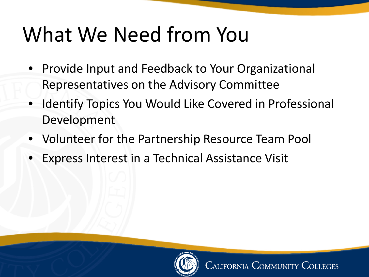### What We Need from You

- Provide Input and Feedback to Your Organizational Representatives on the Advisory Committee
- Identify Topics You Would Like Covered in Professional Development
- Volunteer for the Partnership Resource Team Pool
- Express Interest in a Technical Assistance Visit